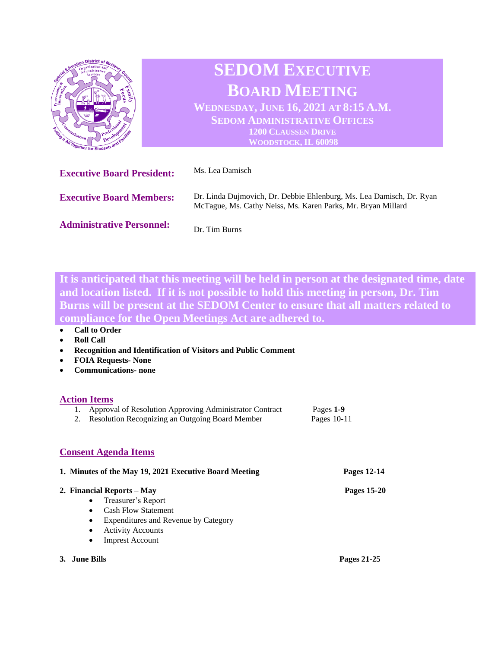

**It is anticipated that this meeting will be held in person at the designated time, date and location listed. If it is not possible to hold this meeting in person, Dr. Tim Burns will be present at the SEDOM Center to ensure that all matters related to compliance for the Open Meetings Act are adhered to.** 

- **Roll Call**
- **Recognition and Identification of Visitors and Public Comment**
- **FOIA Requests- None**
- **Communications- none**

## **Action Items**

| Approval of Resolution Approving Administrator Contract<br>1.<br>Resolution Recognizing an Outgoing Board Member<br>2.                                                       | Pages 1-9<br>Pages $10-11$ |
|------------------------------------------------------------------------------------------------------------------------------------------------------------------------------|----------------------------|
| <b>Consent Agenda Items</b>                                                                                                                                                  |                            |
| 1. Minutes of the May 19, 2021 Executive Board Meeting                                                                                                                       | Pages 12-14                |
| 2. Financial Reports – May<br>Treasurer's Report<br><b>Cash Flow Statement</b><br>Expenditures and Revenue by Category<br><b>Activity Accounts</b><br><b>Imprest Account</b> | <b>Pages 15-20</b>         |

**3. June Bills Pages 21-25**